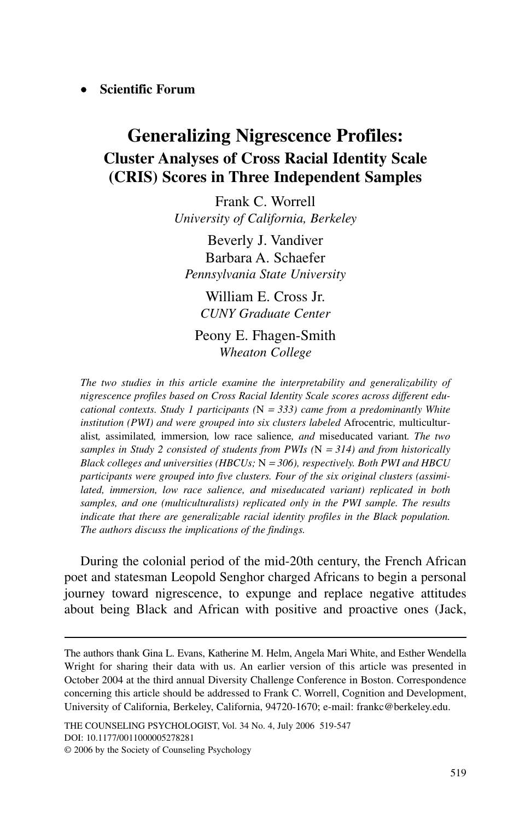# • **Scientific Forum**

# **Generalizing Nigrescence Profiles: Cluster Analyses of Cross Racial Identity Scale (CRIS) Scores in Three Independent Samples**

Frank C. Worrell *University of California, Berkeley*

Beverly J. Vandiver Barbara A. Schaefer *Pennsylvania State University*

William E. Cross Jr. *CUNY Graduate Center*

Peony E. Fhagen-Smith *Wheaton College*

*The two studies in this article examine the interpretability and generalizability of nigrescence profiles based on Cross Racial Identity Scale scores across different educational contexts. Study 1 participants (*N <sup>=</sup> *333) came from a predominantly White institution (PWI) and were grouped into six clusters labeled* Afrocentric*,* multiculturalist*,* assimilated*,* immersion*,* low race salience*, and* miseducated variant*. The two samples in Study 2 consisted of students from PWIs (*N <sup>=</sup> *314) and from historically Black colleges and universities (HBCUs;* N <sup>=</sup> *306), respectively. Both PWI and HBCU participants were grouped into five clusters. Four of the six original clusters (assimilated, immersion, low race salience, and miseducated variant) replicated in both samples, and one (multiculturalists) replicated only in the PWI sample. The results indicate that there are generalizable racial identity profiles in the Black population. The authors discuss the implications of the findings.*

During the colonial period of the mid-20th century, the French African poet and statesman Leopold Senghor charged Africans to begin a personal journey toward nigrescence, to expunge and replace negative attitudes about being Black and African with positive and proactive ones (Jack,

THE COUNSELING PSYCHOLOGIST, Vol. 34 No. 4, July 2006 519-547 DOI: 10.1177/0011000005278281 © 2006 by the Society of Counseling Psychology

The authors thank Gina L. Evans, Katherine M. Helm, Angela Mari White, and Esther Wendella Wright for sharing their data with us. An earlier version of this article was presented in October 2004 at the third annual Diversity Challenge Conference in Boston. Correspondence concerning this article should be addressed to Frank C. Worrell, Cognition and Development, University of California, Berkeley, California, 94720-1670; e-mail: frankc@berkeley.edu.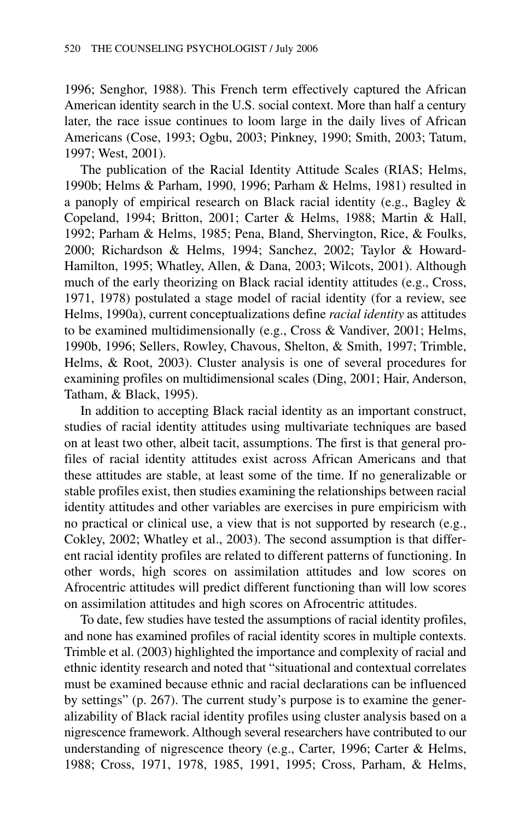1996; Senghor, 1988). This French term effectively captured the African American identity search in the U.S. social context. More than half a century later, the race issue continues to loom large in the daily lives of African Americans (Cose, 1993; Ogbu, 2003; Pinkney, 1990; Smith, 2003; Tatum, 1997; West, 2001).

The publication of the Racial Identity Attitude Scales (RIAS; Helms, 1990b; Helms & Parham, 1990, 1996; Parham & Helms, 1981) resulted in a panoply of empirical research on Black racial identity (e.g., Bagley & Copeland, 1994; Britton, 2001; Carter & Helms, 1988; Martin & Hall, 1992; Parham & Helms, 1985; Pena, Bland, Shervington, Rice, & Foulks, 2000; Richardson & Helms, 1994; Sanchez, 2002; Taylor & Howard-Hamilton, 1995; Whatley, Allen, & Dana, 2003; Wilcots, 2001). Although much of the early theorizing on Black racial identity attitudes (e.g., Cross, 1971, 1978) postulated a stage model of racial identity (for a review, see Helms, 1990a), current conceptualizations define *racial identity* as attitudes to be examined multidimensionally (e.g., Cross & Vandiver, 2001; Helms, 1990b, 1996; Sellers, Rowley, Chavous, Shelton, & Smith, 1997; Trimble, Helms, & Root, 2003). Cluster analysis is one of several procedures for examining profiles on multidimensional scales (Ding, 2001; Hair, Anderson, Tatham, & Black, 1995).

In addition to accepting Black racial identity as an important construct, studies of racial identity attitudes using multivariate techniques are based on at least two other, albeit tacit, assumptions. The first is that general profiles of racial identity attitudes exist across African Americans and that these attitudes are stable, at least some of the time. If no generalizable or stable profiles exist, then studies examining the relationships between racial identity attitudes and other variables are exercises in pure empiricism with no practical or clinical use, a view that is not supported by research (e.g., Cokley, 2002; Whatley et al., 2003). The second assumption is that different racial identity profiles are related to different patterns of functioning. In other words, high scores on assimilation attitudes and low scores on Afrocentric attitudes will predict different functioning than will low scores on assimilation attitudes and high scores on Afrocentric attitudes.

To date, few studies have tested the assumptions of racial identity profiles, and none has examined profiles of racial identity scores in multiple contexts. Trimble et al. (2003) highlighted the importance and complexity of racial and ethnic identity research and noted that "situational and contextual correlates must be examined because ethnic and racial declarations can be influenced by settings" (p. 267). The current study's purpose is to examine the generalizability of Black racial identity profiles using cluster analysis based on a nigrescence framework. Although several researchers have contributed to our understanding of nigrescence theory (e.g., Carter, 1996; Carter & Helms, 1988; Cross, 1971, 1978, 1985, 1991, 1995; Cross, Parham, & Helms,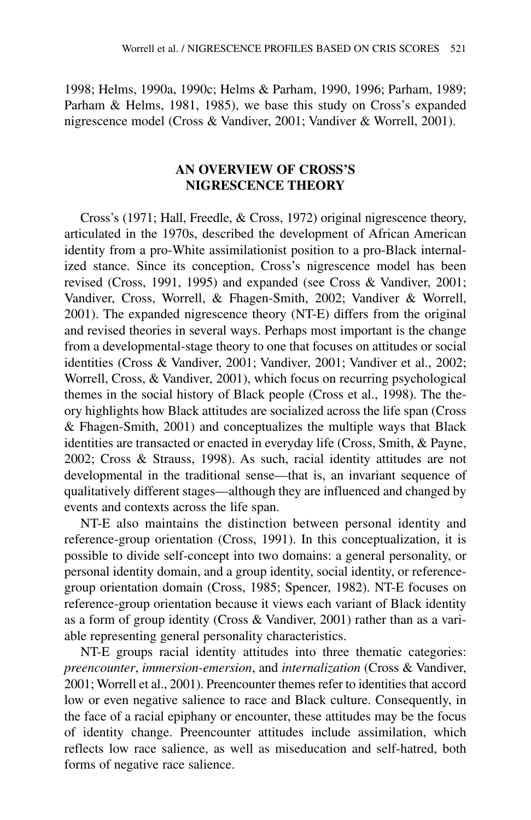1998; Helms, 1990a, 1990c; Helms & Parham, 1990, 1996; Parham, 1989; Parham & Helms, 1981, 1985), we base this study on Cross's expanded nigrescence model (Cross & Vandiver, 2001; Vandiver & Worrell, 2001).

# **AN OVERVIEW OF CROSS'S NIGRESCENCE THEORY**

Cross's (1971; Hall, Freedle, & Cross, 1972) original nigrescence theory, articulated in the 1970s, described the development of African American identity from a pro-White assimilationist position to a pro-Black internalized stance. Since its conception, Cross's nigrescence model has been revised (Cross, 1991, 1995) and expanded (see Cross & Vandiver, 2001; Vandiver, Cross, Worrell, & Fhagen-Smith, 2002; Vandiver & Worrell, 2001). The expanded nigrescence theory (NT-E) differs from the original and revised theories in several ways. Perhaps most important is the change from a developmental-stage theory to one that focuses on attitudes or social identities (Cross & Vandiver, 2001; Vandiver, 2001; Vandiver et al., 2002; Worrell, Cross, & Vandiver, 2001), which focus on recurring psychological themes in the social history of Black people (Cross et al., 1998). The theory highlights how Black attitudes are socialized across the life span (Cross & Fhagen-Smith, 2001) and conceptualizes the multiple ways that Black identities are transacted or enacted in everyday life (Cross, Smith, & Payne, 2002; Cross & Strauss, 1998). As such, racial identity attitudes are not developmental in the traditional sense—that is, an invariant sequence of qualitatively different stages—although they are influenced and changed by events and contexts across the life span.

NT-E also maintains the distinction between personal identity and reference-group orientation (Cross, 1991). In this conceptualization, it is possible to divide self-concept into two domains: a general personality, or personal identity domain, and a group identity, social identity, or referencegroup orientation domain (Cross, 1985; Spencer, 1982). NT-E focuses on reference-group orientation because it views each variant of Black identity as a form of group identity (Cross & Vandiver, 2001) rather than as a variable representing general personality characteristics.

NT-E groups racial identity attitudes into three thematic categories: *preencounter*, *immersion-emersion*, and *internalization* (Cross & Vandiver, 2001; Worrell et al., 2001). Preencounter themes refer to identities that accord low or even negative salience to race and Black culture. Consequently, in the face of a racial epiphany or encounter, these attitudes may be the focus of identity change. Preencounter attitudes include assimilation, which reflects low race salience, as well as miseducation and self-hatred, both forms of negative race salience.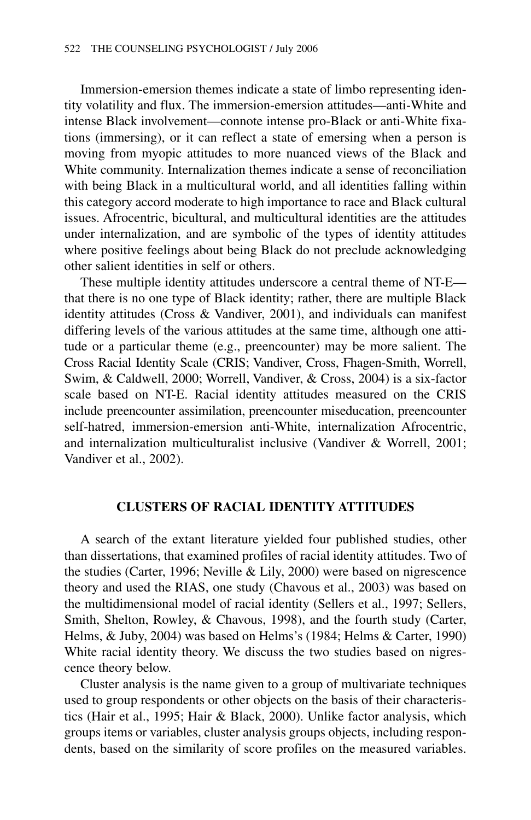Immersion-emersion themes indicate a state of limbo representing identity volatility and flux. The immersion-emersion attitudes—anti-White and intense Black involvement—connote intense pro-Black or anti-White fixations (immersing), or it can reflect a state of emersing when a person is moving from myopic attitudes to more nuanced views of the Black and White community. Internalization themes indicate a sense of reconciliation with being Black in a multicultural world, and all identities falling within this category accord moderate to high importance to race and Black cultural issues. Afrocentric, bicultural, and multicultural identities are the attitudes under internalization, and are symbolic of the types of identity attitudes where positive feelings about being Black do not preclude acknowledging other salient identities in self or others.

These multiple identity attitudes underscore a central theme of NT-E that there is no one type of Black identity; rather, there are multiple Black identity attitudes (Cross & Vandiver, 2001), and individuals can manifest differing levels of the various attitudes at the same time, although one attitude or a particular theme (e.g., preencounter) may be more salient. The Cross Racial Identity Scale (CRIS; Vandiver, Cross, Fhagen-Smith, Worrell, Swim, & Caldwell, 2000; Worrell, Vandiver, & Cross, 2004) is a six-factor scale based on NT-E. Racial identity attitudes measured on the CRIS include preencounter assimilation, preencounter miseducation, preencounter self-hatred, immersion-emersion anti-White, internalization Afrocentric, and internalization multiculturalist inclusive (Vandiver & Worrell, 2001; Vandiver et al., 2002).

# **CLUSTERS OF RACIAL IDENTITY ATTITUDES**

A search of the extant literature yielded four published studies, other than dissertations, that examined profiles of racial identity attitudes. Two of the studies (Carter, 1996; Neville & Lily, 2000) were based on nigrescence theory and used the RIAS, one study (Chavous et al., 2003) was based on the multidimensional model of racial identity (Sellers et al., 1997; Sellers, Smith, Shelton, Rowley, & Chavous, 1998), and the fourth study (Carter, Helms, & Juby, 2004) was based on Helms's (1984; Helms & Carter, 1990) White racial identity theory. We discuss the two studies based on nigrescence theory below.

Cluster analysis is the name given to a group of multivariate techniques used to group respondents or other objects on the basis of their characteristics (Hair et al., 1995; Hair & Black, 2000). Unlike factor analysis, which groups items or variables, cluster analysis groups objects, including respondents, based on the similarity of score profiles on the measured variables.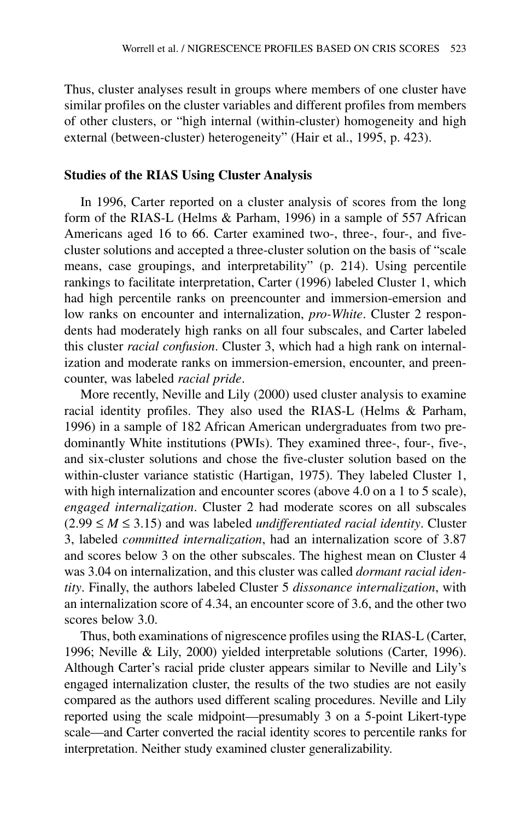Thus, cluster analyses result in groups where members of one cluster have similar profiles on the cluster variables and different profiles from members of other clusters, or "high internal (within-cluster) homogeneity and high external (between-cluster) heterogeneity" (Hair et al., 1995, p. 423).

### **Studies of the RIAS Using Cluster Analysis**

In 1996, Carter reported on a cluster analysis of scores from the long form of the RIAS-L (Helms & Parham, 1996) in a sample of 557 African Americans aged 16 to 66. Carter examined two-, three-, four-, and fivecluster solutions and accepted a three-cluster solution on the basis of "scale means, case groupings, and interpretability" (p. 214). Using percentile rankings to facilitate interpretation, Carter (1996) labeled Cluster 1, which had high percentile ranks on preencounter and immersion-emersion and low ranks on encounter and internalization, *pro-White*. Cluster 2 respondents had moderately high ranks on all four subscales, and Carter labeled this cluster *racial confusion*. Cluster 3, which had a high rank on internalization and moderate ranks on immersion-emersion, encounter, and preencounter, was labeled *racial pride*.

More recently, Neville and Lily (2000) used cluster analysis to examine racial identity profiles. They also used the RIAS-L (Helms & Parham, 1996) in a sample of 182 African American undergraduates from two predominantly White institutions (PWIs). They examined three-, four-, five-, and six-cluster solutions and chose the five-cluster solution based on the within-cluster variance statistic (Hartigan, 1975). They labeled Cluster 1, with high internalization and encounter scores (above 4.0 on a 1 to 5 scale), *engaged internalization*. Cluster 2 had moderate scores on all subscales (2.99 ≤ *M* ≤ 3.15) and was labeled *undifferentiated racial identity*. Cluster 3, labeled *committed internalization*, had an internalization score of 3.87 and scores below 3 on the other subscales. The highest mean on Cluster 4 was 3.04 on internalization, and this cluster was called *dormant racial identity*. Finally, the authors labeled Cluster 5 *dissonance internalization*, with an internalization score of 4.34, an encounter score of 3.6, and the other two scores below 3.0.

Thus, both examinations of nigrescence profiles using the RIAS-L (Carter, 1996; Neville & Lily, 2000) yielded interpretable solutions (Carter, 1996). Although Carter's racial pride cluster appears similar to Neville and Lily's engaged internalization cluster, the results of the two studies are not easily compared as the authors used different scaling procedures. Neville and Lily reported using the scale midpoint—presumably 3 on a 5-point Likert-type scale—and Carter converted the racial identity scores to percentile ranks for interpretation. Neither study examined cluster generalizability.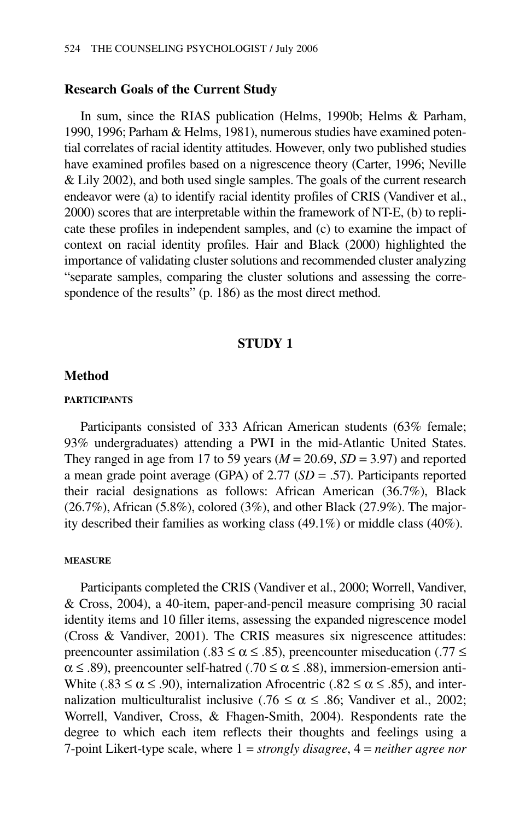### **Research Goals of the Current Study**

In sum, since the RIAS publication (Helms, 1990b; Helms & Parham, 1990, 1996; Parham & Helms, 1981), numerous studies have examined potential correlates of racial identity attitudes. However, only two published studies have examined profiles based on a nigrescence theory (Carter, 1996; Neville & Lily 2002), and both used single samples. The goals of the current research endeavor were (a) to identify racial identity profiles of CRIS (Vandiver et al., 2000) scores that are interpretable within the framework of NT-E, (b) to replicate these profiles in independent samples, and (c) to examine the impact of context on racial identity profiles. Hair and Black (2000) highlighted the importance of validating cluster solutions and recommended cluster analyzing "separate samples, comparing the cluster solutions and assessing the correspondence of the results" (p. 186) as the most direct method.

# **STUDY 1**

### **Method**

#### **PARTICIPANTS**

Participants consisted of 333 African American students (63% female; 93% undergraduates) attending a PWI in the mid-Atlantic United States. They ranged in age from 17 to 59 years  $(M = 20.69, SD = 3.97)$  and reported a mean grade point average (GPA) of 2.77 (*SD* = .57). Participants reported their racial designations as follows: African American (36.7%), Black  $(26.7\%)$ , African  $(5.8\%)$ , colored  $(3\%)$ , and other Black  $(27.9\%)$ . The majority described their families as working class (49.1%) or middle class (40%).

#### **MEASURE**

Participants completed the CRIS (Vandiver et al., 2000; Worrell, Vandiver, & Cross, 2004), a 40-item, paper-and-pencil measure comprising 30 racial identity items and 10 filler items, assessing the expanded nigrescence model (Cross & Vandiver, 2001). The CRIS measures six nigrescence attitudes: preencounter assimilation (.83 ≤  $\alpha$  ≤ .85), preencounter miseducation (.77 ≤  $\alpha \leq .89$ ), preencounter self-hatred (.70  $\leq \alpha \leq .88$ ), immersion-emersion anti-White (.83  $\le \alpha \le .90$ ), internalization Afrocentric (.82  $\le \alpha \le .85$ ), and internalization multiculturalist inclusive (.76  $\leq \alpha \leq .86$ ; Vandiver et al., 2002; Worrell, Vandiver, Cross, & Fhagen-Smith, 2004). Respondents rate the degree to which each item reflects their thoughts and feelings using a 7-point Likert-type scale, where 1 = *strongly disagree*, 4 = *neither agree nor*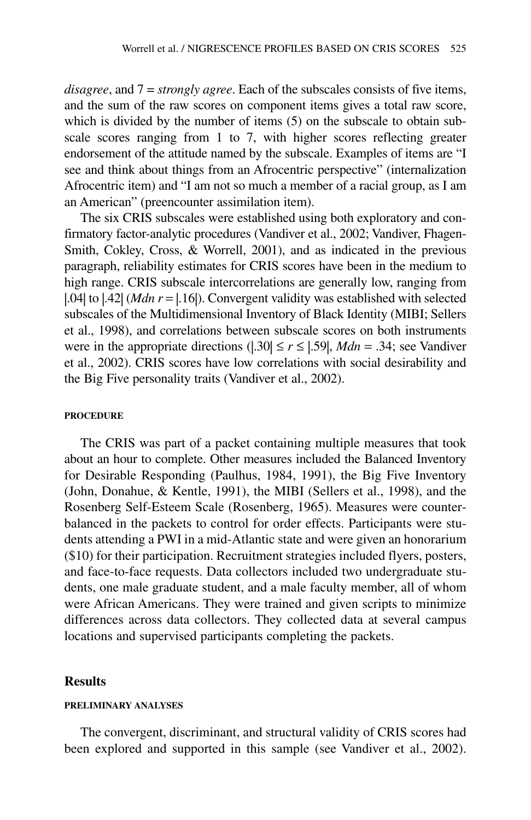*disagree*, and 7 = *strongly agree*. Each of the subscales consists of five items, and the sum of the raw scores on component items gives a total raw score, which is divided by the number of items  $(5)$  on the subscale to obtain subscale scores ranging from 1 to 7, with higher scores reflecting greater endorsement of the attitude named by the subscale. Examples of items are "I see and think about things from an Afrocentric perspective" (internalization Afrocentric item) and "I am not so much a member of a racial group, as I am an American" (preencounter assimilation item).

The six CRIS subscales were established using both exploratory and confirmatory factor-analytic procedures (Vandiver et al., 2002; Vandiver, Fhagen-Smith, Cokley, Cross, & Worrell, 2001), and as indicated in the previous paragraph, reliability estimates for CRIS scores have been in the medium to high range. CRIS subscale intercorrelations are generally low, ranging from |.04| to |.42| (*Mdn r* = |.16|). Convergent validity was established with selected subscales of the Multidimensional Inventory of Black Identity (MIBI; Sellers et al., 1998), and correlations between subscale scores on both instruments were in the appropriate directions  $(|.30| \le r \le |.59|, Mdn = .34$ ; see Vandiver et al., 2002). CRIS scores have low correlations with social desirability and the Big Five personality traits (Vandiver et al., 2002).

#### **PROCEDURE**

The CRIS was part of a packet containing multiple measures that took about an hour to complete. Other measures included the Balanced Inventory for Desirable Responding (Paulhus, 1984, 1991), the Big Five Inventory (John, Donahue, & Kentle, 1991), the MIBI (Sellers et al., 1998), and the Rosenberg Self-Esteem Scale (Rosenberg, 1965). Measures were counterbalanced in the packets to control for order effects. Participants were students attending a PWI in a mid-Atlantic state and were given an honorarium (\$10) for their participation. Recruitment strategies included flyers, posters, and face-to-face requests. Data collectors included two undergraduate students, one male graduate student, and a male faculty member, all of whom were African Americans. They were trained and given scripts to minimize differences across data collectors. They collected data at several campus locations and supervised participants completing the packets.

#### **Results**

#### **PRELIMINARY ANALYSES**

The convergent, discriminant, and structural validity of CRIS scores had been explored and supported in this sample (see Vandiver et al., 2002).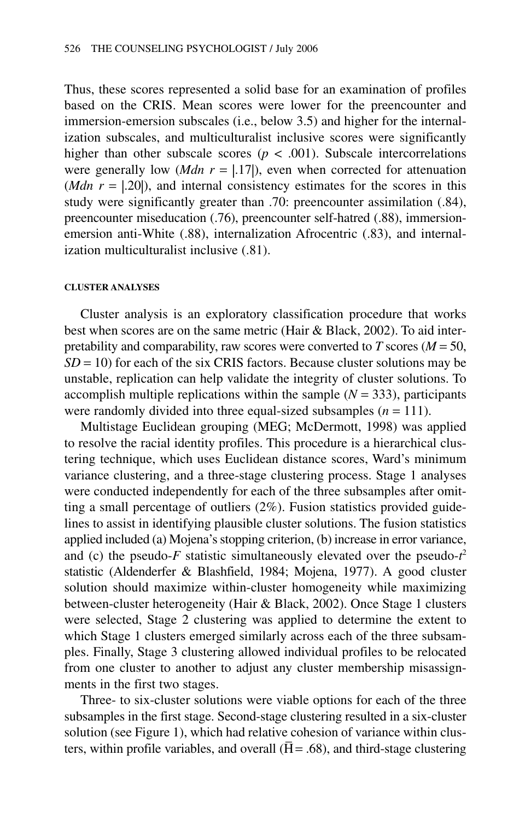Thus, these scores represented a solid base for an examination of profiles based on the CRIS. Mean scores were lower for the preencounter and immersion-emersion subscales (i.e., below 3.5) and higher for the internalization subscales, and multiculturalist inclusive scores were significantly higher than other subscale scores ( $p < .001$ ). Subscale intercorrelations were generally low (*Mdn r* =  $|.17|$ ), even when corrected for attenuation  $(Mdn \r = |.20|)$ , and internal consistency estimates for the scores in this study were significantly greater than .70: preencounter assimilation (.84), preencounter miseducation (.76), preencounter self-hatred (.88), immersionemersion anti-White (.88), internalization Afrocentric (.83), and internalization multiculturalist inclusive (.81).

#### **CLUSTER ANALYSES**

Cluster analysis is an exploratory classification procedure that works best when scores are on the same metric (Hair & Black, 2002). To aid interpretability and comparability, raw scores were converted to  $T$  scores ( $M = 50$ ,  $SD = 10$ ) for each of the six CRIS factors. Because cluster solutions may be unstable, replication can help validate the integrity of cluster solutions. To accomplish multiple replications within the sample  $(N = 333)$ , participants were randomly divided into three equal-sized subsamples  $(n = 111)$ .

Multistage Euclidean grouping (MEG; McDermott, 1998) was applied to resolve the racial identity profiles. This procedure is a hierarchical clustering technique, which uses Euclidean distance scores, Ward's minimum variance clustering, and a three-stage clustering process. Stage 1 analyses were conducted independently for each of the three subsamples after omitting a small percentage of outliers (2%). Fusion statistics provided guidelines to assist in identifying plausible cluster solutions. The fusion statistics applied included (a) Mojena's stopping criterion, (b) increase in error variance, and (c) the pseudo- $F$  statistic simultaneously elevated over the pseudo- $t^2$ statistic (Aldenderfer & Blashfield, 1984; Mojena, 1977). A good cluster solution should maximize within-cluster homogeneity while maximizing between-cluster heterogeneity (Hair & Black, 2002). Once Stage 1 clusters were selected, Stage 2 clustering was applied to determine the extent to which Stage 1 clusters emerged similarly across each of the three subsamples. Finally, Stage 3 clustering allowed individual profiles to be relocated from one cluster to another to adjust any cluster membership misassignments in the first two stages.

Three- to six-cluster solutions were viable options for each of the three subsamples in the first stage. Second-stage clustering resulted in a six-cluster solution (see Figure 1), which had relative cohesion of variance within clusters, within profile variables, and overall ( $\overline{H}$  = .68), and third-stage clustering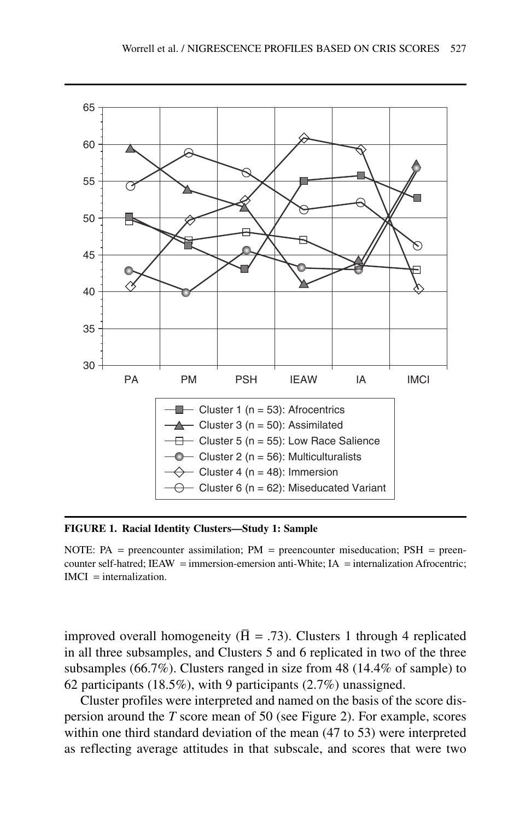

**FIGURE 1. Racial Identity Clusters—Study 1: Sample**

NOTE: PA = preencounter assimilation;  $PM$  = preencounter miseducation;  $PSH$  = preencounter self-hatred; IEAW = immersion-emersion anti-White; IA = internalization Afrocentric; IMCI = internalization.

improved overall homogeneity ( $\overline{H} = .73$ ). Clusters 1 through 4 replicated in all three subsamples, and Clusters 5 and 6 replicated in two of the three subsamples (66.7%). Clusters ranged in size from 48 (14.4% of sample) to 62 participants (18.5%), with 9 participants (2.7%) unassigned.

Cluster profiles were interpreted and named on the basis of the score dispersion around the *T* score mean of 50 (see Figure 2). For example, scores within one third standard deviation of the mean (47 to 53) were interpreted as reflecting average attitudes in that subscale, and scores that were two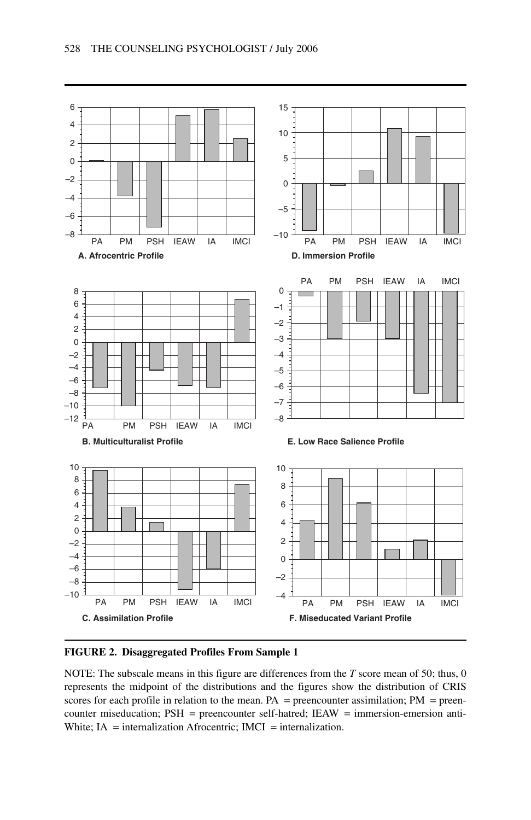

**FIGURE 2. Disaggregated Profiles From Sample 1**

NOTE: The subscale means in this figure are differences from the *T* score mean of 50; thus, 0 represents the midpoint of the distributions and the figures show the distribution of CRIS scores for each profile in relation to the mean.  $PA$  = preencounter assimilation;  $PM$  = preencounter miseducation; PSH = preencounter self-hatred; IEAW = immersion-emersion anti-White; IA = internalization Afrocentric; IMCI = internalization.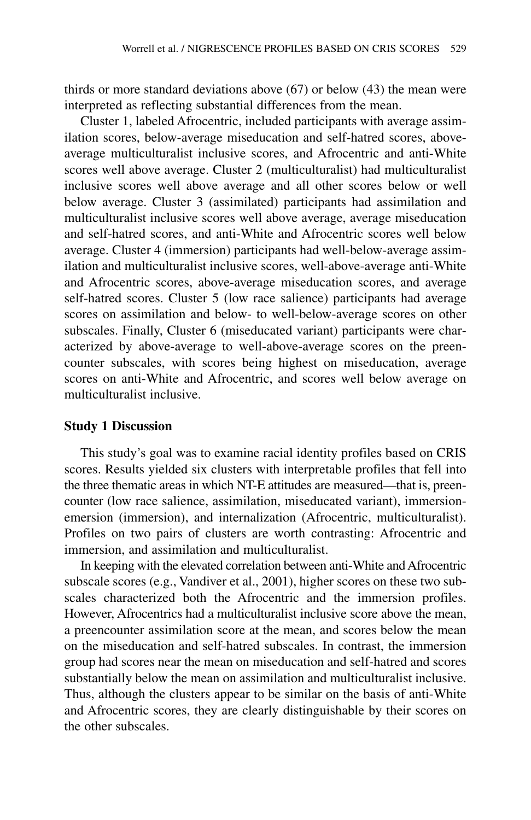thirds or more standard deviations above (67) or below (43) the mean were interpreted as reflecting substantial differences from the mean.

Cluster 1, labeled Afrocentric, included participants with average assimilation scores, below-average miseducation and self-hatred scores, aboveaverage multiculturalist inclusive scores, and Afrocentric and anti-White scores well above average. Cluster 2 (multiculturalist) had multiculturalist inclusive scores well above average and all other scores below or well below average. Cluster 3 (assimilated) participants had assimilation and multiculturalist inclusive scores well above average, average miseducation and self-hatred scores, and anti-White and Afrocentric scores well below average. Cluster 4 (immersion) participants had well-below-average assimilation and multiculturalist inclusive scores, well-above-average anti-White and Afrocentric scores, above-average miseducation scores, and average self-hatred scores. Cluster 5 (low race salience) participants had average scores on assimilation and below- to well-below-average scores on other subscales. Finally, Cluster 6 (miseducated variant) participants were characterized by above-average to well-above-average scores on the preencounter subscales, with scores being highest on miseducation, average scores on anti-White and Afrocentric, and scores well below average on multiculturalist inclusive.

### **Study 1 Discussion**

This study's goal was to examine racial identity profiles based on CRIS scores. Results yielded six clusters with interpretable profiles that fell into the three thematic areas in which NT-E attitudes are measured—that is, preencounter (low race salience, assimilation, miseducated variant), immersionemersion (immersion), and internalization (Afrocentric, multiculturalist). Profiles on two pairs of clusters are worth contrasting: Afrocentric and immersion, and assimilation and multiculturalist.

In keeping with the elevated correlation between anti-White and Afrocentric subscale scores (e.g., Vandiver et al., 2001), higher scores on these two subscales characterized both the Afrocentric and the immersion profiles. However, Afrocentrics had a multiculturalist inclusive score above the mean, a preencounter assimilation score at the mean, and scores below the mean on the miseducation and self-hatred subscales. In contrast, the immersion group had scores near the mean on miseducation and self-hatred and scores substantially below the mean on assimilation and multiculturalist inclusive. Thus, although the clusters appear to be similar on the basis of anti-White and Afrocentric scores, they are clearly distinguishable by their scores on the other subscales.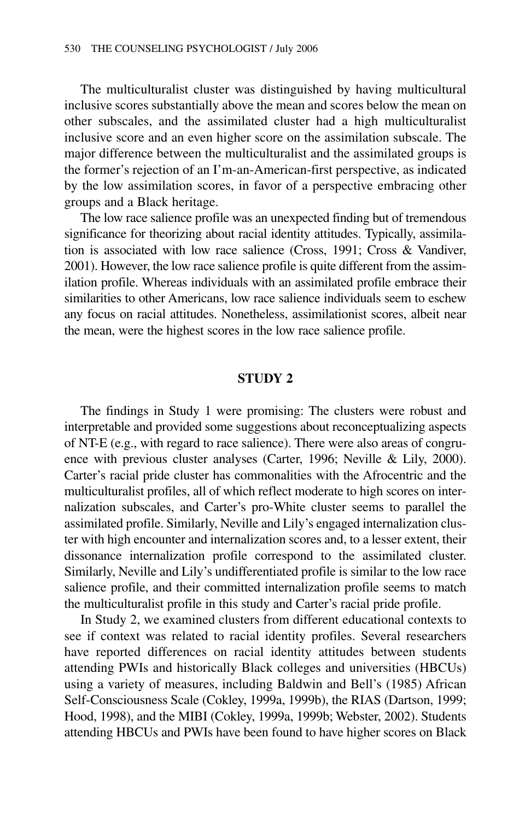The multiculturalist cluster was distinguished by having multicultural inclusive scores substantially above the mean and scores below the mean on other subscales, and the assimilated cluster had a high multiculturalist inclusive score and an even higher score on the assimilation subscale. The major difference between the multiculturalist and the assimilated groups is the former's rejection of an I'm-an-American-first perspective, as indicated by the low assimilation scores, in favor of a perspective embracing other groups and a Black heritage.

The low race salience profile was an unexpected finding but of tremendous significance for theorizing about racial identity attitudes. Typically, assimilation is associated with low race salience (Cross, 1991; Cross & Vandiver, 2001). However, the low race salience profile is quite different from the assimilation profile. Whereas individuals with an assimilated profile embrace their similarities to other Americans, low race salience individuals seem to eschew any focus on racial attitudes. Nonetheless, assimilationist scores, albeit near the mean, were the highest scores in the low race salience profile.

# **STUDY 2**

The findings in Study 1 were promising: The clusters were robust and interpretable and provided some suggestions about reconceptualizing aspects of NT-E (e.g., with regard to race salience). There were also areas of congruence with previous cluster analyses (Carter, 1996; Neville & Lily, 2000). Carter's racial pride cluster has commonalities with the Afrocentric and the multiculturalist profiles, all of which reflect moderate to high scores on internalization subscales, and Carter's pro-White cluster seems to parallel the assimilated profile. Similarly, Neville and Lily's engaged internalization cluster with high encounter and internalization scores and, to a lesser extent, their dissonance internalization profile correspond to the assimilated cluster. Similarly, Neville and Lily's undifferentiated profile is similar to the low race salience profile, and their committed internalization profile seems to match the multiculturalist profile in this study and Carter's racial pride profile.

In Study 2, we examined clusters from different educational contexts to see if context was related to racial identity profiles. Several researchers have reported differences on racial identity attitudes between students attending PWIs and historically Black colleges and universities (HBCUs) using a variety of measures, including Baldwin and Bell's (1985) African Self-Consciousness Scale (Cokley, 1999a, 1999b), the RIAS (Dartson, 1999; Hood, 1998), and the MIBI (Cokley, 1999a, 1999b; Webster, 2002). Students attending HBCUs and PWIs have been found to have higher scores on Black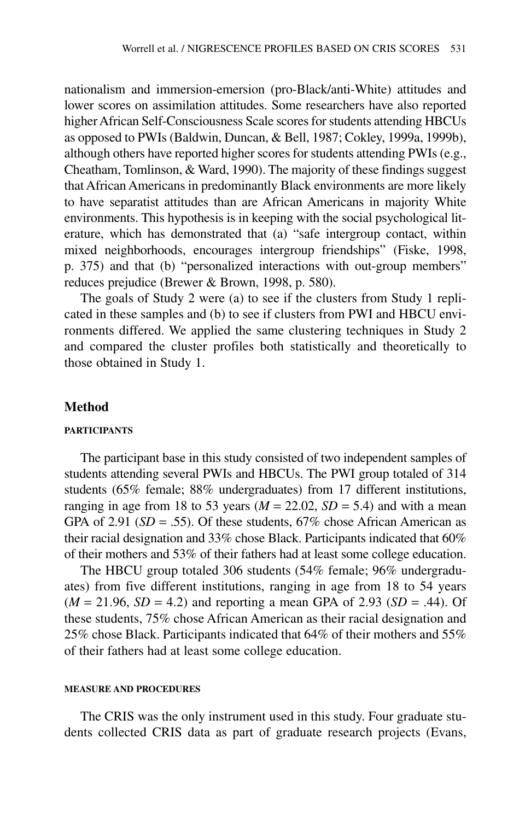nationalism and immersion-emersion (pro-Black/anti-White) attitudes and lower scores on assimilation attitudes. Some researchers have also reported higher African Self-Consciousness Scale scores for students attending HBCUs as opposed to PWIs (Baldwin, Duncan, & Bell, 1987; Cokley, 1999a, 1999b), although others have reported higher scores for students attending PWIs (e.g., Cheatham, Tomlinson, & Ward, 1990). The majority of these findings suggest that African Americans in predominantly Black environments are more likely to have separatist attitudes than are African Americans in majority White environments. This hypothesis is in keeping with the social psychological literature, which has demonstrated that (a) "safe intergroup contact, within mixed neighborhoods, encourages intergroup friendships" (Fiske, 1998, p. 375) and that (b) "personalized interactions with out-group members" reduces prejudice (Brewer & Brown, 1998, p. 580).

The goals of Study 2 were (a) to see if the clusters from Study 1 replicated in these samples and (b) to see if clusters from PWI and HBCU environments differed. We applied the same clustering techniques in Study 2 and compared the cluster profiles both statistically and theoretically to those obtained in Study 1.

#### **Method**

#### **PARTICIPANTS**

The participant base in this study consisted of two independent samples of students attending several PWIs and HBCUs. The PWI group totaled of 314 students (65% female; 88% undergraduates) from 17 different institutions, ranging in age from 18 to 53 years ( $M = 22.02$ ,  $SD = 5.4$ ) and with a mean GPA of 2.91 ( $SD = .55$ ). Of these students,  $67\%$  chose African American as their racial designation and 33% chose Black. Participants indicated that 60% of their mothers and 53% of their fathers had at least some college education.

The HBCU group totaled 306 students (54% female; 96% undergraduates) from five different institutions, ranging in age from 18 to 54 years  $(M = 21.96, SD = 4.2)$  and reporting a mean GPA of 2.93 ( $SD = .44$ ). Of these students, 75% chose African American as their racial designation and 25% chose Black. Participants indicated that 64% of their mothers and 55% of their fathers had at least some college education.

#### **MEASURE AND PROCEDURES**

The CRIS was the only instrument used in this study. Four graduate students collected CRIS data as part of graduate research projects (Evans,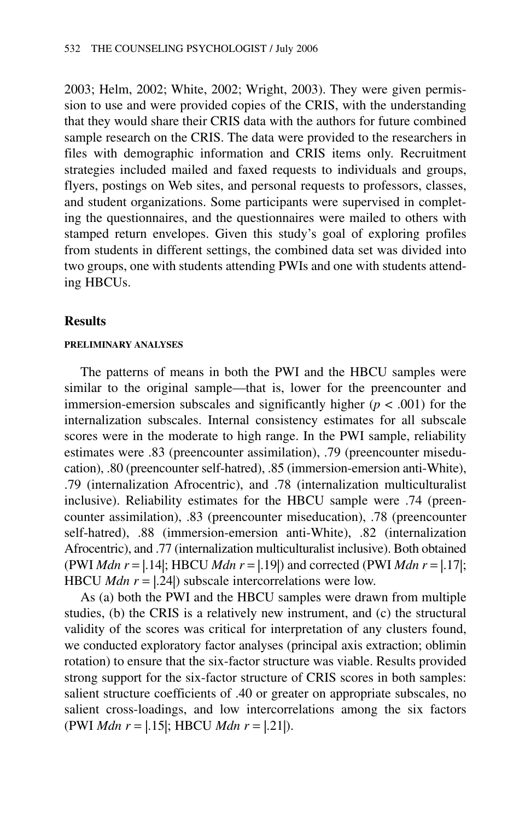2003; Helm, 2002; White, 2002; Wright, 2003). They were given permission to use and were provided copies of the CRIS, with the understanding that they would share their CRIS data with the authors for future combined sample research on the CRIS. The data were provided to the researchers in files with demographic information and CRIS items only. Recruitment strategies included mailed and faxed requests to individuals and groups, flyers, postings on Web sites, and personal requests to professors, classes, and student organizations. Some participants were supervised in completing the questionnaires, and the questionnaires were mailed to others with stamped return envelopes. Given this study's goal of exploring profiles from students in different settings, the combined data set was divided into two groups, one with students attending PWIs and one with students attending HBCUs.

# **Results**

# **PRELIMINARY ANALYSES**

The patterns of means in both the PWI and the HBCU samples were similar to the original sample—that is, lower for the preencounter and immersion-emersion subscales and significantly higher  $(p < .001)$  for the internalization subscales. Internal consistency estimates for all subscale scores were in the moderate to high range. In the PWI sample, reliability estimates were .83 (preencounter assimilation), .79 (preencounter miseducation), .80 (preencounter self-hatred), .85 (immersion-emersion anti-White), .79 (internalization Afrocentric), and .78 (internalization multiculturalist inclusive). Reliability estimates for the HBCU sample were .74 (preencounter assimilation), .83 (preencounter miseducation), .78 (preencounter self-hatred), .88 (immersion-emersion anti-White), .82 (internalization Afrocentric), and .77 (internalization multiculturalist inclusive). Both obtained (PWI *Mdn r* = |.14|; HBCU *Mdn r* = |.19|) and corrected (PWI *Mdn r* = |.17|; HBCU *Mdn r* =  $|24|$ ) subscale intercorrelations were low.

As (a) both the PWI and the HBCU samples were drawn from multiple studies, (b) the CRIS is a relatively new instrument, and (c) the structural validity of the scores was critical for interpretation of any clusters found, we conducted exploratory factor analyses (principal axis extraction; oblimin rotation) to ensure that the six-factor structure was viable. Results provided strong support for the six-factor structure of CRIS scores in both samples: salient structure coefficients of .40 or greater on appropriate subscales, no salient cross-loadings, and low intercorrelations among the six factors (PWI *Mdn r* = |.15|; HBCU *Mdn r* = |.21|).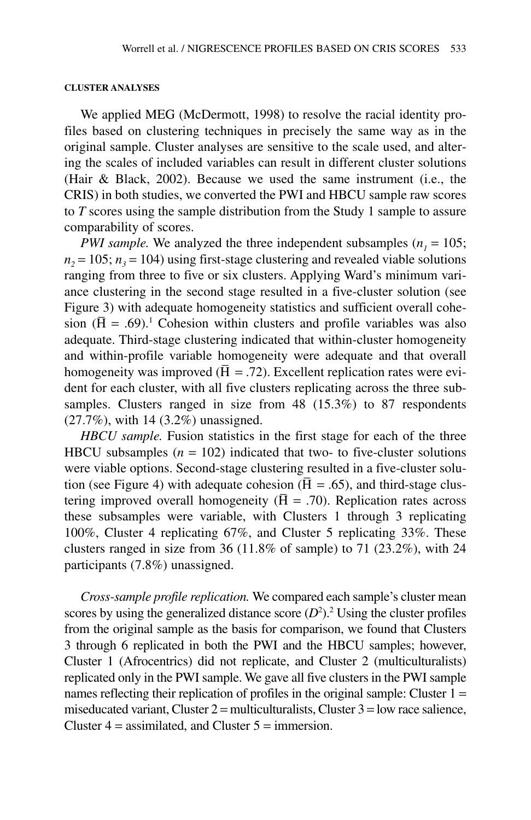#### **CLUSTER ANALYSES**

We applied MEG (McDermott, 1998) to resolve the racial identity profiles based on clustering techniques in precisely the same way as in the original sample. Cluster analyses are sensitive to the scale used, and altering the scales of included variables can result in different cluster solutions (Hair & Black, 2002). Because we used the same instrument (i.e., the CRIS) in both studies, we converted the PWI and HBCU sample raw scores to *T* scores using the sample distribution from the Study 1 sample to assure comparability of scores.

*PWI sample.* We analyzed the three independent subsamples ( $n_1 = 105$ ;  $n_2 = 105$ ;  $n_3 = 104$ ) using first-stage clustering and revealed viable solutions ranging from three to five or six clusters. Applying Ward's minimum variance clustering in the second stage resulted in a five-cluster solution (see Figure 3) with adequate homogeneity statistics and sufficient overall cohesion  $(\overline{H} = .69)^{1}$ . Cohesion within clusters and profile variables was also adequate. Third-stage clustering indicated that within-cluster homogeneity and within-profile variable homogeneity were adequate and that overall homogeneity was improved ( $\overline{H} = .72$ ). Excellent replication rates were evident for each cluster, with all five clusters replicating across the three subsamples. Clusters ranged in size from 48 (15.3%) to 87 respondents (27.7%), with 14 (3.2%) unassigned.

*HBCU sample.* Fusion statistics in the first stage for each of the three HBCU subsamples  $(n = 102)$  indicated that two- to five-cluster solutions were viable options. Second-stage clustering resulted in a five-cluster solution (see Figure 4) with adequate cohesion ( $\overline{H} = .65$ ), and third-stage clustering improved overall homogeneity ( $\overline{H} = .70$ ). Replication rates across these subsamples were variable, with Clusters 1 through 3 replicating 100%, Cluster 4 replicating 67%, and Cluster 5 replicating 33%. These clusters ranged in size from 36 (11.8% of sample) to 71 (23.2%), with 24 participants (7.8%) unassigned.

*Cross-sample profile replication.* We compared each sample's cluster mean scores by using the generalized distance score  $(D^2)$ .<sup>2</sup> Using the cluster profiles from the original sample as the basis for comparison, we found that Clusters 3 through 6 replicated in both the PWI and the HBCU samples; however, Cluster 1 (Afrocentrics) did not replicate, and Cluster 2 (multiculturalists) replicated only in the PWI sample. We gave all five clusters in the PWI sample names reflecting their replication of profiles in the original sample: Cluster  $1 =$ miseducated variant, Cluster  $2 =$  multiculturalists, Cluster  $3 =$  low race salience, Cluster  $4 =$  assimilated, and Cluster  $5 =$  immersion.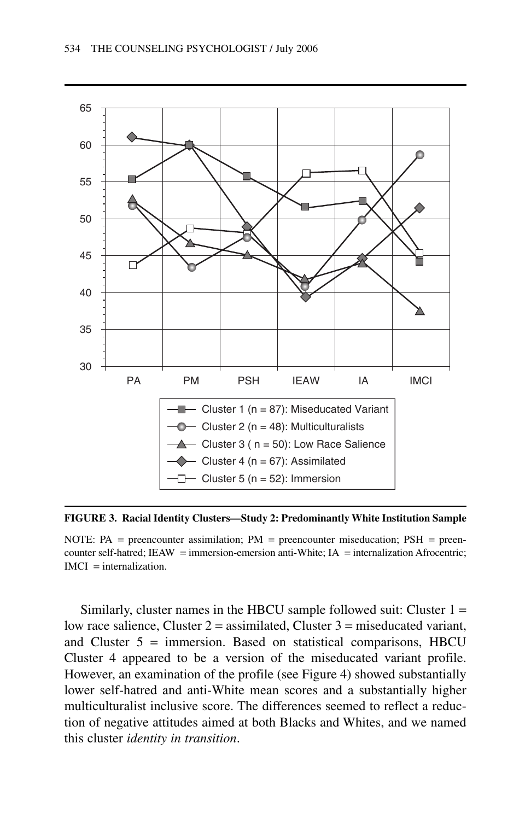

**FIGURE 3. Racial Identity Clusters—Study 2: Predominantly White Institution Sample**

NOTE: PA = preencounter assimilation;  $PM$  = preencounter miseducation;  $PSH$  = preencounter self-hatred; IEAW = immersion-emersion anti-White; IA = internalization Afrocentric; IMCI = internalization.

Similarly, cluster names in the HBCU sample followed suit: Cluster  $1 =$ low race salience, Cluster 2 = assimilated, Cluster 3 = miseducated variant, and Cluster  $5 = \text{immersion}$ . Based on statistical comparisons, HBCU Cluster 4 appeared to be a version of the miseducated variant profile. However, an examination of the profile (see Figure 4) showed substantially lower self-hatred and anti-White mean scores and a substantially higher multiculturalist inclusive score. The differences seemed to reflect a reduction of negative attitudes aimed at both Blacks and Whites, and we named this cluster *identity in transition*.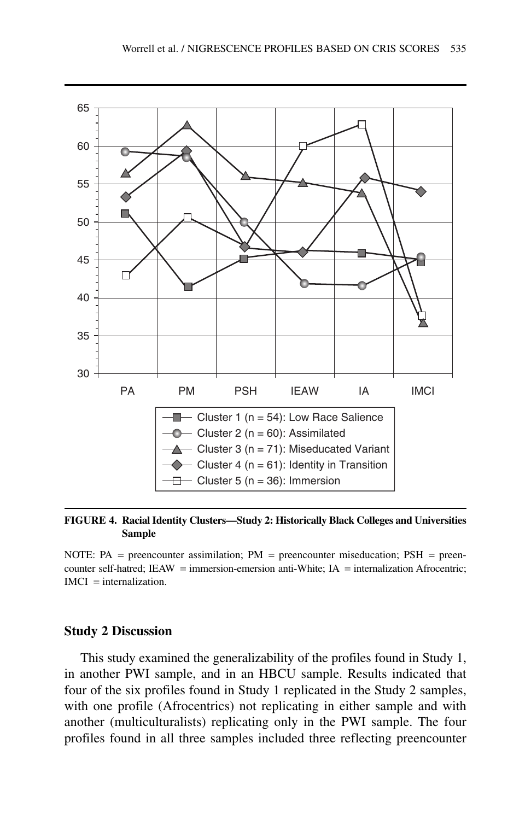

**FIGURE 4. Racial Identity Clusters—Study 2: Historically Black Colleges and Universities Sample**

NOTE:  $PA$  = preencounter assimilation;  $PM$  = preencounter miseducation;  $PSH$  = preencounter self-hatred; IEAW = immersion-emersion anti-White; IA = internalization Afrocentric; IMCI = internalization.

# **Study 2 Discussion**

This study examined the generalizability of the profiles found in Study 1, in another PWI sample, and in an HBCU sample. Results indicated that four of the six profiles found in Study 1 replicated in the Study 2 samples, with one profile (Afrocentrics) not replicating in either sample and with another (multiculturalists) replicating only in the PWI sample. The four profiles found in all three samples included three reflecting preencounter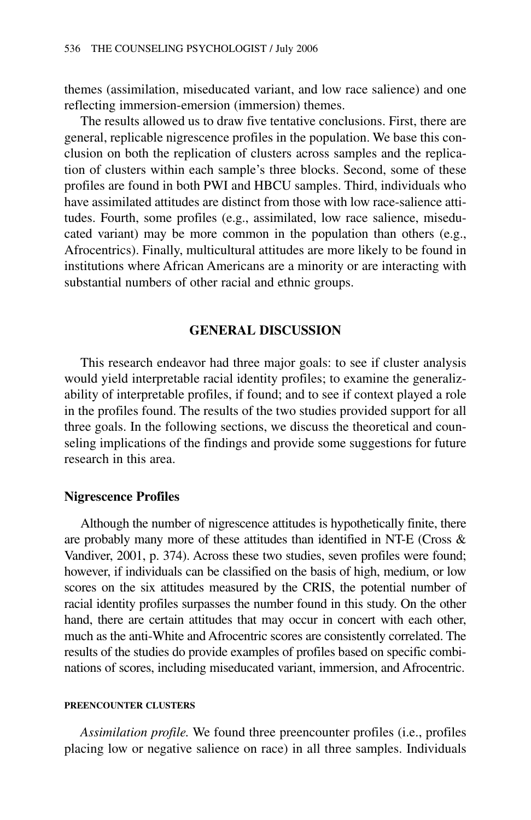themes (assimilation, miseducated variant, and low race salience) and one reflecting immersion-emersion (immersion) themes.

The results allowed us to draw five tentative conclusions. First, there are general, replicable nigrescence profiles in the population. We base this conclusion on both the replication of clusters across samples and the replication of clusters within each sample's three blocks. Second, some of these profiles are found in both PWI and HBCU samples. Third, individuals who have assimilated attitudes are distinct from those with low race-salience attitudes. Fourth, some profiles (e.g., assimilated, low race salience, miseducated variant) may be more common in the population than others (e.g., Afrocentrics). Finally, multicultural attitudes are more likely to be found in institutions where African Americans are a minority or are interacting with substantial numbers of other racial and ethnic groups.

### **GENERAL DISCUSSION**

This research endeavor had three major goals: to see if cluster analysis would yield interpretable racial identity profiles; to examine the generalizability of interpretable profiles, if found; and to see if context played a role in the profiles found. The results of the two studies provided support for all three goals. In the following sections, we discuss the theoretical and counseling implications of the findings and provide some suggestions for future research in this area.

### **Nigrescence Profiles**

Although the number of nigrescence attitudes is hypothetically finite, there are probably many more of these attitudes than identified in NT-E (Cross & Vandiver, 2001, p. 374). Across these two studies, seven profiles were found; however, if individuals can be classified on the basis of high, medium, or low scores on the six attitudes measured by the CRIS, the potential number of racial identity profiles surpasses the number found in this study. On the other hand, there are certain attitudes that may occur in concert with each other, much as the anti-White and Afrocentric scores are consistently correlated. The results of the studies do provide examples of profiles based on specific combinations of scores, including miseducated variant, immersion, and Afrocentric.

### **PREENCOUNTER CLUSTERS**

*Assimilation profile.* We found three preencounter profiles (i.e., profiles placing low or negative salience on race) in all three samples. Individuals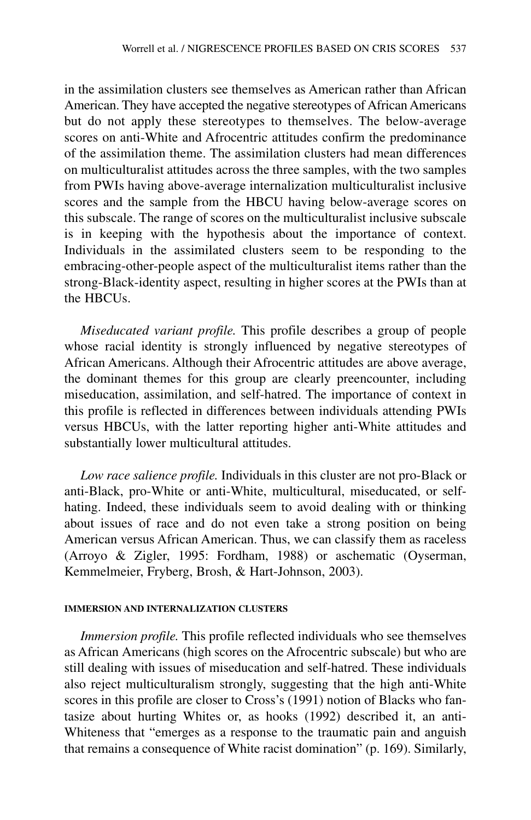in the assimilation clusters see themselves as American rather than African American. They have accepted the negative stereotypes of African Americans but do not apply these stereotypes to themselves. The below-average scores on anti-White and Afrocentric attitudes confirm the predominance of the assimilation theme. The assimilation clusters had mean differences on multiculturalist attitudes across the three samples, with the two samples from PWIs having above-average internalization multiculturalist inclusive scores and the sample from the HBCU having below-average scores on this subscale. The range of scores on the multiculturalist inclusive subscale is in keeping with the hypothesis about the importance of context. Individuals in the assimilated clusters seem to be responding to the embracing-other-people aspect of the multiculturalist items rather than the strong-Black-identity aspect, resulting in higher scores at the PWIs than at the HBCUs.

*Miseducated variant profile.* This profile describes a group of people whose racial identity is strongly influenced by negative stereotypes of African Americans. Although their Afrocentric attitudes are above average, the dominant themes for this group are clearly preencounter, including miseducation, assimilation, and self-hatred. The importance of context in this profile is reflected in differences between individuals attending PWIs versus HBCUs, with the latter reporting higher anti-White attitudes and substantially lower multicultural attitudes.

*Low race salience profile.* Individuals in this cluster are not pro-Black or anti-Black, pro-White or anti-White, multicultural, miseducated, or selfhating. Indeed, these individuals seem to avoid dealing with or thinking about issues of race and do not even take a strong position on being American versus African American. Thus, we can classify them as raceless (Arroyo & Zigler, 1995: Fordham, 1988) or aschematic (Oyserman, Kemmelmeier, Fryberg, Brosh, & Hart-Johnson, 2003).

### **IMMERSION AND INTERNALIZATION CLUSTERS**

*Immersion profile.* This profile reflected individuals who see themselves as African Americans (high scores on the Afrocentric subscale) but who are still dealing with issues of miseducation and self-hatred. These individuals also reject multiculturalism strongly, suggesting that the high anti-White scores in this profile are closer to Cross's (1991) notion of Blacks who fantasize about hurting Whites or, as hooks (1992) described it, an anti-Whiteness that "emerges as a response to the traumatic pain and anguish that remains a consequence of White racist domination" (p. 169). Similarly,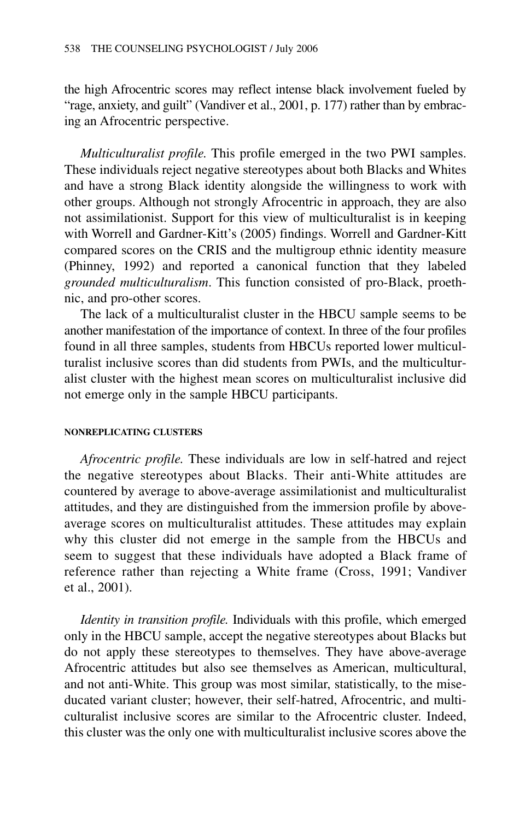the high Afrocentric scores may reflect intense black involvement fueled by "rage, anxiety, and guilt" (Vandiver et al., 2001, p. 177) rather than by embracing an Afrocentric perspective.

*Multiculturalist profile.* This profile emerged in the two PWI samples. These individuals reject negative stereotypes about both Blacks and Whites and have a strong Black identity alongside the willingness to work with other groups. Although not strongly Afrocentric in approach, they are also not assimilationist. Support for this view of multiculturalist is in keeping with Worrell and Gardner-Kitt's (2005) findings. Worrell and Gardner-Kitt compared scores on the CRIS and the multigroup ethnic identity measure (Phinney, 1992) and reported a canonical function that they labeled *grounded multiculturalism*. This function consisted of pro-Black, proethnic, and pro-other scores.

The lack of a multiculturalist cluster in the HBCU sample seems to be another manifestation of the importance of context. In three of the four profiles found in all three samples, students from HBCUs reported lower multiculturalist inclusive scores than did students from PWIs, and the multiculturalist cluster with the highest mean scores on multiculturalist inclusive did not emerge only in the sample HBCU participants.

#### **NONREPLICATING CLUSTERS**

*Afrocentric profile.* These individuals are low in self-hatred and reject the negative stereotypes about Blacks. Their anti-White attitudes are countered by average to above-average assimilationist and multiculturalist attitudes, and they are distinguished from the immersion profile by aboveaverage scores on multiculturalist attitudes. These attitudes may explain why this cluster did not emerge in the sample from the HBCUs and seem to suggest that these individuals have adopted a Black frame of reference rather than rejecting a White frame (Cross, 1991; Vandiver et al., 2001).

*Identity in transition profile.* Individuals with this profile, which emerged only in the HBCU sample, accept the negative stereotypes about Blacks but do not apply these stereotypes to themselves. They have above-average Afrocentric attitudes but also see themselves as American, multicultural, and not anti-White. This group was most similar, statistically, to the miseducated variant cluster; however, their self-hatred, Afrocentric, and multiculturalist inclusive scores are similar to the Afrocentric cluster. Indeed, this cluster was the only one with multiculturalist inclusive scores above the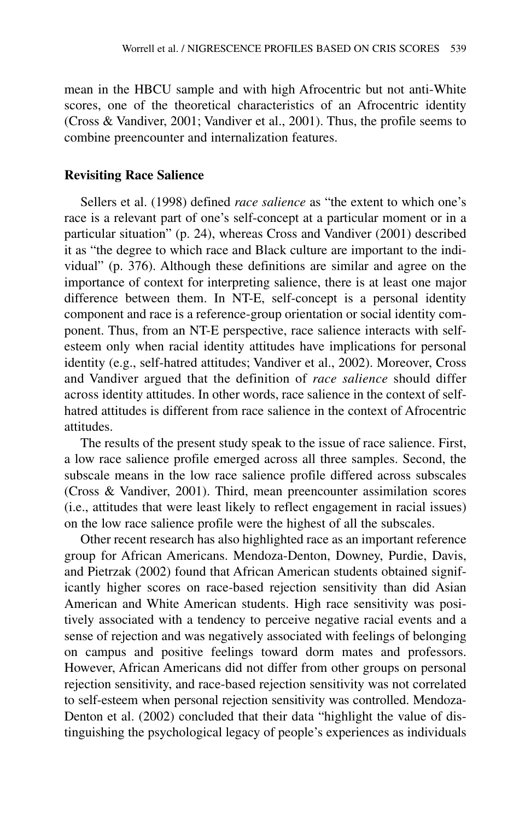mean in the HBCU sample and with high Afrocentric but not anti-White scores, one of the theoretical characteristics of an Afrocentric identity (Cross & Vandiver, 2001; Vandiver et al., 2001). Thus, the profile seems to combine preencounter and internalization features.

### **Revisiting Race Salience**

Sellers et al. (1998) defined *race salience* as "the extent to which one's race is a relevant part of one's self-concept at a particular moment or in a particular situation" (p. 24), whereas Cross and Vandiver (2001) described it as "the degree to which race and Black culture are important to the individual" (p. 376). Although these definitions are similar and agree on the importance of context for interpreting salience, there is at least one major difference between them. In NT-E, self-concept is a personal identity component and race is a reference-group orientation or social identity component. Thus, from an NT-E perspective, race salience interacts with selfesteem only when racial identity attitudes have implications for personal identity (e.g., self-hatred attitudes; Vandiver et al., 2002). Moreover, Cross and Vandiver argued that the definition of *race salience* should differ across identity attitudes. In other words, race salience in the context of selfhatred attitudes is different from race salience in the context of Afrocentric attitudes.

The results of the present study speak to the issue of race salience. First, a low race salience profile emerged across all three samples. Second, the subscale means in the low race salience profile differed across subscales (Cross & Vandiver, 2001). Third, mean preencounter assimilation scores (i.e., attitudes that were least likely to reflect engagement in racial issues) on the low race salience profile were the highest of all the subscales.

Other recent research has also highlighted race as an important reference group for African Americans. Mendoza-Denton, Downey, Purdie, Davis, and Pietrzak (2002) found that African American students obtained significantly higher scores on race-based rejection sensitivity than did Asian American and White American students. High race sensitivity was positively associated with a tendency to perceive negative racial events and a sense of rejection and was negatively associated with feelings of belonging on campus and positive feelings toward dorm mates and professors. However, African Americans did not differ from other groups on personal rejection sensitivity, and race-based rejection sensitivity was not correlated to self-esteem when personal rejection sensitivity was controlled. Mendoza-Denton et al. (2002) concluded that their data "highlight the value of distinguishing the psychological legacy of people's experiences as individuals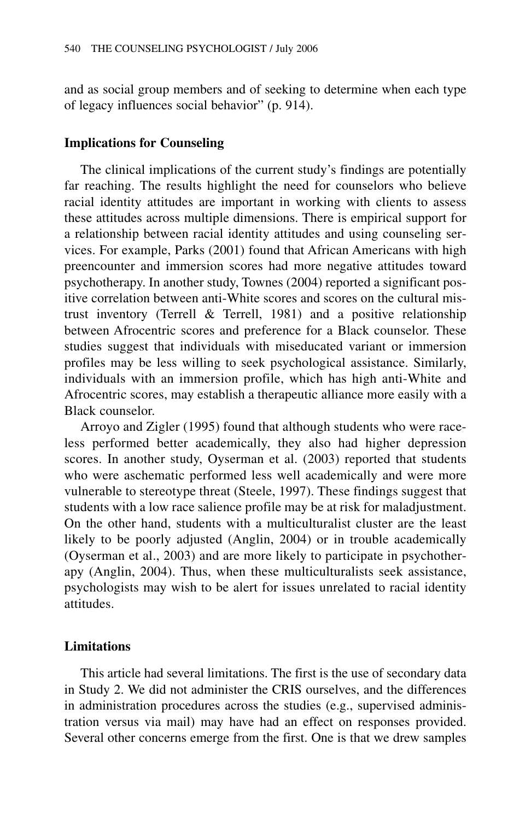and as social group members and of seeking to determine when each type of legacy influences social behavior" (p. 914).

### **Implications for Counseling**

The clinical implications of the current study's findings are potentially far reaching. The results highlight the need for counselors who believe racial identity attitudes are important in working with clients to assess these attitudes across multiple dimensions. There is empirical support for a relationship between racial identity attitudes and using counseling services. For example, Parks (2001) found that African Americans with high preencounter and immersion scores had more negative attitudes toward psychotherapy. In another study, Townes (2004) reported a significant positive correlation between anti-White scores and scores on the cultural mistrust inventory (Terrell & Terrell, 1981) and a positive relationship between Afrocentric scores and preference for a Black counselor. These studies suggest that individuals with miseducated variant or immersion profiles may be less willing to seek psychological assistance. Similarly, individuals with an immersion profile, which has high anti-White and Afrocentric scores, may establish a therapeutic alliance more easily with a Black counselor.

Arroyo and Zigler (1995) found that although students who were raceless performed better academically, they also had higher depression scores. In another study, Oyserman et al. (2003) reported that students who were aschematic performed less well academically and were more vulnerable to stereotype threat (Steele, 1997). These findings suggest that students with a low race salience profile may be at risk for maladjustment. On the other hand, students with a multiculturalist cluster are the least likely to be poorly adjusted (Anglin, 2004) or in trouble academically (Oyserman et al., 2003) and are more likely to participate in psychotherapy (Anglin, 2004). Thus, when these multiculturalists seek assistance, psychologists may wish to be alert for issues unrelated to racial identity attitudes.

# **Limitations**

This article had several limitations. The first is the use of secondary data in Study 2. We did not administer the CRIS ourselves, and the differences in administration procedures across the studies (e.g., supervised administration versus via mail) may have had an effect on responses provided. Several other concerns emerge from the first. One is that we drew samples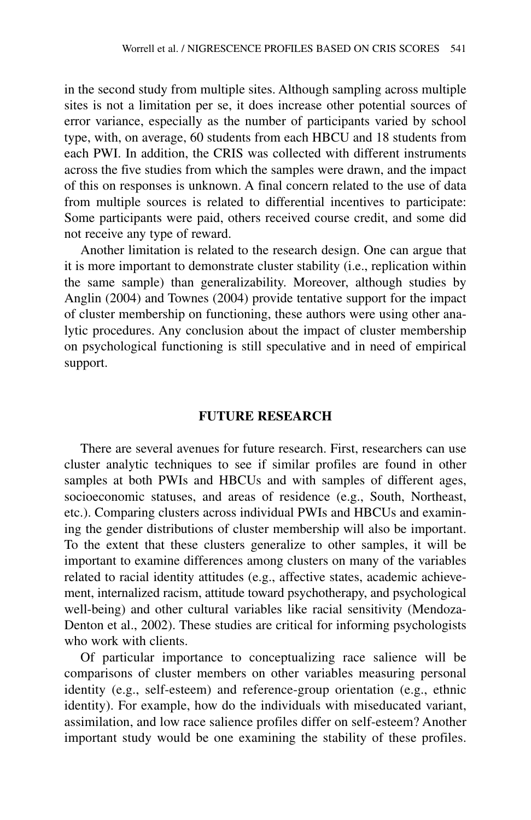in the second study from multiple sites. Although sampling across multiple sites is not a limitation per se, it does increase other potential sources of error variance, especially as the number of participants varied by school type, with, on average, 60 students from each HBCU and 18 students from each PWI. In addition, the CRIS was collected with different instruments across the five studies from which the samples were drawn, and the impact of this on responses is unknown. A final concern related to the use of data from multiple sources is related to differential incentives to participate: Some participants were paid, others received course credit, and some did not receive any type of reward.

Another limitation is related to the research design. One can argue that it is more important to demonstrate cluster stability (i.e., replication within the same sample) than generalizability. Moreover, although studies by Anglin (2004) and Townes (2004) provide tentative support for the impact of cluster membership on functioning, these authors were using other analytic procedures. Any conclusion about the impact of cluster membership on psychological functioning is still speculative and in need of empirical support.

# **FUTURE RESEARCH**

There are several avenues for future research. First, researchers can use cluster analytic techniques to see if similar profiles are found in other samples at both PWIs and HBCUs and with samples of different ages, socioeconomic statuses, and areas of residence (e.g., South, Northeast, etc.). Comparing clusters across individual PWIs and HBCUs and examining the gender distributions of cluster membership will also be important. To the extent that these clusters generalize to other samples, it will be important to examine differences among clusters on many of the variables related to racial identity attitudes (e.g., affective states, academic achievement, internalized racism, attitude toward psychotherapy, and psychological well-being) and other cultural variables like racial sensitivity (Mendoza-Denton et al., 2002). These studies are critical for informing psychologists who work with clients.

Of particular importance to conceptualizing race salience will be comparisons of cluster members on other variables measuring personal identity (e.g., self-esteem) and reference-group orientation (e.g., ethnic identity). For example, how do the individuals with miseducated variant, assimilation, and low race salience profiles differ on self-esteem? Another important study would be one examining the stability of these profiles.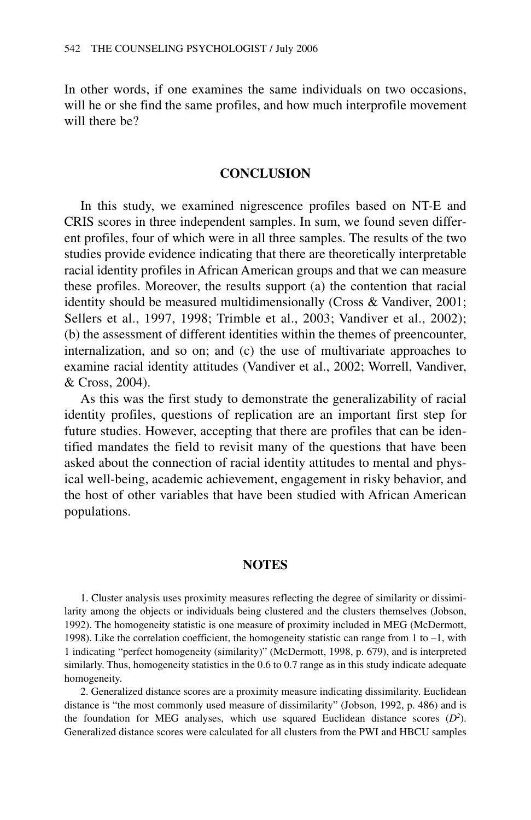In other words, if one examines the same individuals on two occasions, will he or she find the same profiles, and how much interprofile movement will there be?

# **CONCLUSION**

In this study, we examined nigrescence profiles based on NT-E and CRIS scores in three independent samples. In sum, we found seven different profiles, four of which were in all three samples. The results of the two studies provide evidence indicating that there are theoretically interpretable racial identity profiles in African American groups and that we can measure these profiles. Moreover, the results support (a) the contention that racial identity should be measured multidimensionally (Cross & Vandiver, 2001; Sellers et al., 1997, 1998; Trimble et al., 2003; Vandiver et al., 2002); (b) the assessment of different identities within the themes of preencounter, internalization, and so on; and (c) the use of multivariate approaches to examine racial identity attitudes (Vandiver et al., 2002; Worrell, Vandiver, & Cross, 2004).

As this was the first study to demonstrate the generalizability of racial identity profiles, questions of replication are an important first step for future studies. However, accepting that there are profiles that can be identified mandates the field to revisit many of the questions that have been asked about the connection of racial identity attitudes to mental and physical well-being, academic achievement, engagement in risky behavior, and the host of other variables that have been studied with African American populations.

# **NOTES**

1. Cluster analysis uses proximity measures reflecting the degree of similarity or dissimilarity among the objects or individuals being clustered and the clusters themselves (Jobson, 1992). The homogeneity statistic is one measure of proximity included in MEG (McDermott, 1998). Like the correlation coefficient, the homogeneity statistic can range from  $1$  to  $-1$ , with 1 indicating "perfect homogeneity (similarity)" (McDermott, 1998, p. 679), and is interpreted similarly. Thus, homogeneity statistics in the 0.6 to 0.7 range as in this study indicate adequate homogeneity.

2. Generalized distance scores are a proximity measure indicating dissimilarity. Euclidean distance is "the most commonly used measure of dissimilarity" (Jobson, 1992, p. 486) and is the foundation for MEG analyses, which use squared Euclidean distance scores  $(D^2)$ . Generalized distance scores were calculated for all clusters from the PWI and HBCU samples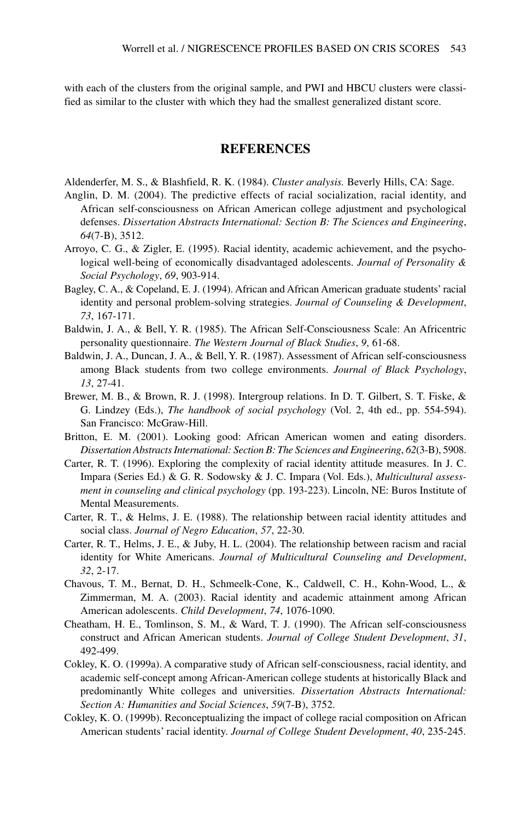with each of the clusters from the original sample, and PWI and HBCU clusters were classified as similar to the cluster with which they had the smallest generalized distant score.

### **REFERENCES**

Aldenderfer, M. S., & Blashfield, R. K. (1984). *Cluster analysis.* Beverly Hills, CA: Sage.

- Anglin, D. M. (2004). The predictive effects of racial socialization, racial identity, and African self-consciousness on African American college adjustment and psychological defenses. *Dissertation Abstracts International: Section B: The Sciences and Engineering*, *64*(7-B), 3512.
- Arroyo, C. G., & Zigler, E. (1995). Racial identity, academic achievement, and the psychological well-being of economically disadvantaged adolescents. *Journal of Personality & Social Psychology*, *69*, 903-914.
- Bagley, C. A., & Copeland, E. J. (1994). African and African American graduate students' racial identity and personal problem-solving strategies. *Journal of Counseling & Development*, *73*, 167-171.
- Baldwin, J. A., & Bell, Y. R. (1985). The African Self-Consciousness Scale: An Africentric personality questionnaire. *The Western Journal of Black Studies*, *9*, 61-68.
- Baldwin, J. A., Duncan, J. A., & Bell, Y. R. (1987). Assessment of African self-consciousness among Black students from two college environments. *Journal of Black Psychology*, *13*, 27-41.
- Brewer, M. B., & Brown, R. J. (1998). Intergroup relations. In D. T. Gilbert, S. T. Fiske, & G. Lindzey (Eds.), *The handbook of social psychology* (Vol. 2, 4th ed., pp. 554-594). San Francisco: McGraw-Hill.
- Britton, E. M. (2001). Looking good: African American women and eating disorders. *Dissertation Abstracts International: Section B: The Sciences and Engineering*, *62*(3-B), 5908.
- Carter, R. T. (1996). Exploring the complexity of racial identity attitude measures. In J. C. Impara (Series Ed.) & G. R. Sodowsky & J. C. Impara (Vol. Eds.), *Multicultural assessment in counseling and clinical psychology* (pp. 193-223). Lincoln, NE: Buros Institute of Mental Measurements.
- Carter, R. T., & Helms, J. E. (1988). The relationship between racial identity attitudes and social class. *Journal of Negro Education*, *57*, 22-30.
- Carter, R. T., Helms, J. E., & Juby, H. L. (2004). The relationship between racism and racial identity for White Americans. *Journal of Multicultural Counseling and Development*, *32*, 2-17.
- Chavous, T. M., Bernat, D. H., Schmeelk-Cone, K., Caldwell, C. H., Kohn-Wood, L., & Zimmerman, M. A. (2003). Racial identity and academic attainment among African American adolescents. *Child Development*, *74*, 1076-1090.
- Cheatham, H. E., Tomlinson, S. M., & Ward, T. J. (1990). The African self-consciousness construct and African American students. *Journal of College Student Development*, *31*, 492-499.
- Cokley, K. O. (1999a). A comparative study of African self-consciousness, racial identity, and academic self-concept among African-American college students at historically Black and predominantly White colleges and universities. *Dissertation Abstracts International: Section A: Humanities and Social Sciences*, *59*(7-B), 3752.
- Cokley, K. O. (1999b). Reconceptualizing the impact of college racial composition on African American students' racial identity. *Journal of College Student Development*, *40*, 235-245.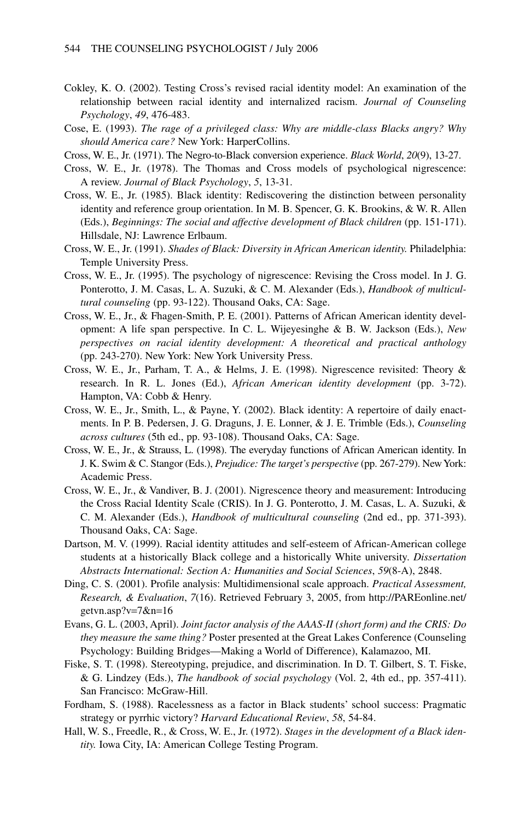- Cokley, K. O. (2002). Testing Cross's revised racial identity model: An examination of the relationship between racial identity and internalized racism. *Journal of Counseling Psychology*, *49*, 476-483.
- Cose, E. (1993). *The rage of a privileged class: Why are middle-class Blacks angry? Why should America care?* New York: HarperCollins.
- Cross, W. E., Jr. (1971). The Negro-to-Black conversion experience. *Black World*, *20*(9), 13-27.
- Cross, W. E., Jr. (1978). The Thomas and Cross models of psychological nigrescence: A review. *Journal of Black Psychology*, *5*, 13-31.
- Cross, W. E., Jr. (1985). Black identity: Rediscovering the distinction between personality identity and reference group orientation. In M. B. Spencer, G. K. Brookins, & W. R. Allen (Eds.), *Beginnings: The social and affective development of Black children* (pp. 151-171). Hillsdale, NJ: Lawrence Erlbaum.
- Cross, W. E., Jr. (1991). *Shades of Black: Diversity in African American identity.* Philadelphia: Temple University Press.
- Cross, W. E., Jr. (1995). The psychology of nigrescence: Revising the Cross model. In J. G. Ponterotto, J. M. Casas, L. A. Suzuki, & C. M. Alexander (Eds.), *Handbook of multicultural counseling* (pp. 93-122). Thousand Oaks, CA: Sage.
- Cross, W. E., Jr., & Fhagen-Smith, P. E. (2001). Patterns of African American identity development: A life span perspective. In C. L. Wijeyesinghe & B. W. Jackson (Eds.), *New perspectives on racial identity development: A theoretical and practical anthology* (pp. 243-270). New York: New York University Press.
- Cross, W. E., Jr., Parham, T. A., & Helms, J. E. (1998). Nigrescence revisited: Theory & research. In R. L. Jones (Ed.), *African American identity development* (pp. 3-72). Hampton, VA: Cobb & Henry.
- Cross, W. E., Jr., Smith, L., & Payne, Y. (2002). Black identity: A repertoire of daily enactments. In P. B. Pedersen, J. G. Draguns, J. E. Lonner, & J. E. Trimble (Eds.), *Counseling across cultures* (5th ed., pp. 93-108). Thousand Oaks, CA: Sage.
- Cross, W. E., Jr., & Strauss, L. (1998). The everyday functions of African American identity. In J. K. Swim & C. Stangor (Eds.), *Prejudice: The target's perspective* (pp. 267-279). New York: Academic Press.
- Cross, W. E., Jr., & Vandiver, B. J. (2001). Nigrescence theory and measurement: Introducing the Cross Racial Identity Scale (CRIS). In J. G. Ponterotto, J. M. Casas, L. A. Suzuki, & C. M. Alexander (Eds.), *Handbook of multicultural counseling* (2nd ed., pp. 371-393). Thousand Oaks, CA: Sage.
- Dartson, M. V. (1999). Racial identity attitudes and self-esteem of African-American college students at a historically Black college and a historically White university. *Dissertation Abstracts International: Section A: Humanities and Social Sciences*, *59*(8-A), 2848.
- Ding, C. S. (2001). Profile analysis: Multidimensional scale approach. *Practical Assessment, Research, & Evaluation*, *7*(16). Retrieved February 3, 2005, from http://PAREonline.net/ getvn.asp?v=7&n=16
- Evans, G. L. (2003, April). *Joint factor analysis of the AAAS-II (short form) and the CRIS: Do they measure the same thing?* Poster presented at the Great Lakes Conference (Counseling Psychology: Building Bridges—Making a World of Difference), Kalamazoo, MI.
- Fiske, S. T. (1998). Stereotyping, prejudice, and discrimination. In D. T. Gilbert, S. T. Fiske, & G. Lindzey (Eds.), *The handbook of social psychology* (Vol. 2, 4th ed., pp. 357-411). San Francisco: McGraw-Hill.
- Fordham, S. (1988). Racelessness as a factor in Black students' school success: Pragmatic strategy or pyrrhic victory? *Harvard Educational Review*, *58*, 54-84.
- Hall, W. S., Freedle, R., & Cross, W. E., Jr. (1972). *Stages in the development of a Black identity.* Iowa City, IA: American College Testing Program.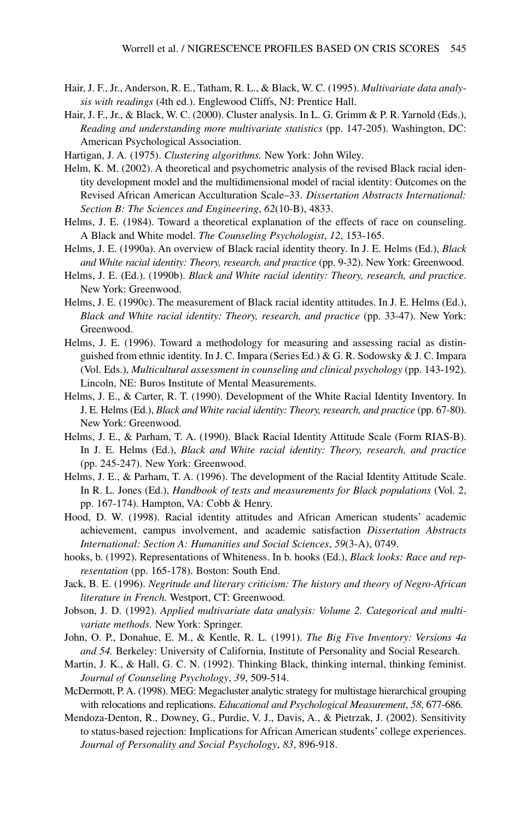- Hair, J. F., Jr., Anderson, R. E., Tatham, R. L., & Black, W. C. (1995). *Multivariate data analysis with readings* (4th ed.). Englewood Cliffs, NJ: Prentice Hall.
- Hair, J. F., Jr., & Black, W. C. (2000). Cluster analysis. In L. G. Grimm & P. R. Yarnold (Eds.), *Reading and understanding more multivariate statistics* (pp. 147-205). Washington, DC: American Psychological Association.

Hartigan, J. A. (1975). *Clustering algorithms.* New York: John Wiley.

- Helm, K. M. (2002). A theoretical and psychometric analysis of the revised Black racial identity development model and the multidimensional model of racial identity: Outcomes on the Revised African American Acculturation Scale–33. *Dissertation Abstracts International: Section B: The Sciences and Engineering*, *62*(10-B), 4833.
- Helms, J. E. (1984). Toward a theoretical explanation of the effects of race on counseling. A Black and White model. *The Counseling Psychologist*, *12*, 153-165.
- Helms, J. E. (1990a). An overview of Black racial identity theory. In J. E. Helms (Ed.), *Black and White racial identity: Theory, research, and practice* (pp. 9-32). New York: Greenwood.
- Helms, J. E. (Ed.). (1990b). *Black and White racial identity: Theory, research, and practice*. New York: Greenwood.
- Helms, J. E. (1990c). The measurement of Black racial identity attitudes. In J. E. Helms (Ed.), *Black and White racial identity: Theory, research, and practice* (pp. 33-47). New York: Greenwood.
- Helms, J. E. (1996). Toward a methodology for measuring and assessing racial as distinguished from ethnic identity. In J. C. Impara (Series Ed.) & G. R. Sodowsky & J. C. Impara (Vol. Eds.), *Multicultural assessment in counseling and clinical psychology* (pp. 143-192). Lincoln, NE: Buros Institute of Mental Measurements.
- Helms, J. E., & Carter, R. T. (1990). Development of the White Racial Identity Inventory. In J. E. Helms (Ed.), *Black and White racial identity: Theory, research, and practice* (pp. 67-80). New York: Greenwood.
- Helms, J. E., & Parham, T. A. (1990). Black Racial Identity Attitude Scale (Form RIAS-B). In J. E. Helms (Ed.), *Black and White racial identity: Theory, research, and practice* (pp. 245-247). New York: Greenwood.
- Helms, J. E., & Parham, T. A. (1996). The development of the Racial Identity Attitude Scale. In R. L. Jones (Ed.), *Handbook of tests and measurements for Black populations* (Vol. 2, pp. 167-174). Hampton, VA: Cobb & Henry.
- Hood, D. W. (1998). Racial identity attitudes and African American students' academic achievement, campus involvement, and academic satisfaction *Dissertation Abstracts International: Section A: Humanities and Social Sciences*, *59*(3-A), 0749.
- hooks, b. (1992). Representations of Whiteness. In b. hooks (Ed.), *Black looks: Race and representation* (pp. 165-178). Boston: South End.
- Jack, B. E. (1996). *Negritude and literary criticism: The history and theory of Negro-African literature in French.* Westport, CT: Greenwood.
- Jobson, J. D. (1992). *Applied multivariate data analysis: Volume 2. Categorical and multivariate methods.* New York: Springer.
- John, O. P., Donahue, E. M., & Kentle, R. L. (1991). *The Big Five Inventory: Versions 4a and 54.* Berkeley: University of California, Institute of Personality and Social Research.
- Martin, J. K., & Hall, G. C. N. (1992). Thinking Black, thinking internal, thinking feminist. *Journal of Counseling Psychology*, *39*, 509-514.
- McDermott, P. A. (1998). MEG: Megacluster analytic strategy for multistage hierarchical grouping with relocations and replications. *Educational and Psychological Measurement*, *58*, 677-686.
- Mendoza-Denton, R., Downey, G., Purdie, V. J., Davis, A., & Pietrzak, J. (2002). Sensitivity to status-based rejection: Implications for African American students' college experiences. *Journal of Personality and Social Psychology*, *83*, 896-918.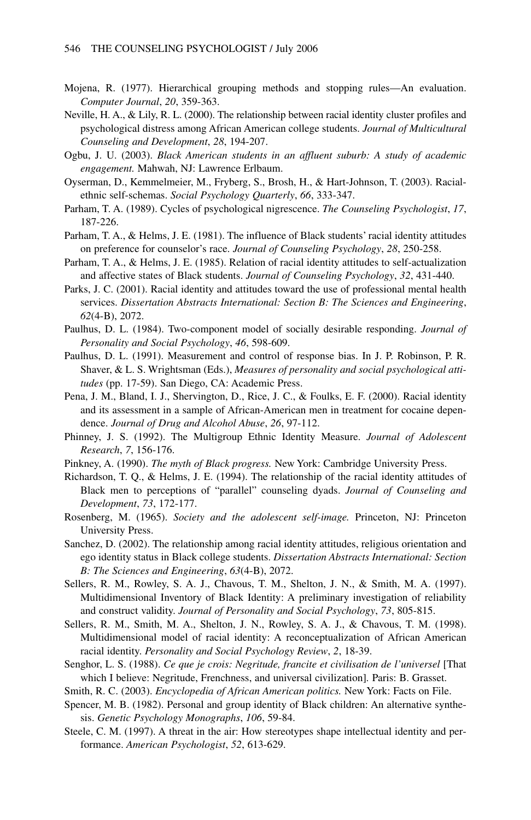- Mojena, R. (1977). Hierarchical grouping methods and stopping rules—An evaluation. *Computer Journal*, *20*, 359-363.
- Neville, H. A., & Lily, R. L. (2000). The relationship between racial identity cluster profiles and psychological distress among African American college students. *Journal of Multicultural Counseling and Development*, *28*, 194-207.
- Ogbu, J. U. (2003). *Black American students in an affluent suburb: A study of academic engagement.* Mahwah, NJ: Lawrence Erlbaum.
- Oyserman, D., Kemmelmeier, M., Fryberg, S., Brosh, H., & Hart-Johnson, T. (2003). Racialethnic self-schemas. *Social Psychology Quarterly*, *66*, 333-347.
- Parham, T. A. (1989). Cycles of psychological nigrescence. *The Counseling Psychologist*, *17*, 187-226.
- Parham, T. A., & Helms, J. E. (1981). The influence of Black students' racial identity attitudes on preference for counselor's race. *Journal of Counseling Psychology*, *28*, 250-258.
- Parham, T. A., & Helms, J. E. (1985). Relation of racial identity attitudes to self-actualization and affective states of Black students. *Journal of Counseling Psychology*, *32*, 431-440.
- Parks, J. C. (2001). Racial identity and attitudes toward the use of professional mental health services. *Dissertation Abstracts International: Section B: The Sciences and Engineering*, *62*(4-B), 2072.
- Paulhus, D. L. (1984). Two-component model of socially desirable responding. *Journal of Personality and Social Psychology*, *46*, 598-609.
- Paulhus, D. L. (1991). Measurement and control of response bias. In J. P. Robinson, P. R. Shaver, & L. S. Wrightsman (Eds.), *Measures of personality and social psychological attitudes* (pp. 17-59). San Diego, CA: Academic Press.
- Pena, J. M., Bland, I. J., Shervington, D., Rice, J. C., & Foulks, E. F. (2000). Racial identity and its assessment in a sample of African-American men in treatment for cocaine dependence. *Journal of Drug and Alcohol Abuse*, *26*, 97-112.
- Phinney, J. S. (1992). The Multigroup Ethnic Identity Measure. *Journal of Adolescent Research*, *7*, 156-176.
- Pinkney, A. (1990). *The myth of Black progress.* New York: Cambridge University Press.
- Richardson, T. Q., & Helms, J. E. (1994). The relationship of the racial identity attitudes of Black men to perceptions of "parallel" counseling dyads. *Journal of Counseling and Development*, *73*, 172-177.
- Rosenberg, M. (1965). *Society and the adolescent self-image.* Princeton, NJ: Princeton University Press.
- Sanchez, D. (2002). The relationship among racial identity attitudes, religious orientation and ego identity status in Black college students. *Dissertation Abstracts International: Section B: The Sciences and Engineering*, *63*(4-B), 2072.
- Sellers, R. M., Rowley, S. A. J., Chavous, T. M., Shelton, J. N., & Smith, M. A. (1997). Multidimensional Inventory of Black Identity: A preliminary investigation of reliability and construct validity. *Journal of Personality and Social Psychology*, *73*, 805-815.
- Sellers, R. M., Smith, M. A., Shelton, J. N., Rowley, S. A. J., & Chavous, T. M. (1998). Multidimensional model of racial identity: A reconceptualization of African American racial identity. *Personality and Social Psychology Review*, *2*, 18-39.
- Senghor, L. S. (1988). *Ce que je crois: Negritude, francite et civilisation de l'universel* [That which I believe: Negritude, Frenchness, and universal civilization]*.* Paris: B. Grasset.
- Smith, R. C. (2003). *Encyclopedia of African American politics.* New York: Facts on File.
- Spencer, M. B. (1982). Personal and group identity of Black children: An alternative synthesis. *Genetic Psychology Monographs*, *106*, 59-84.
- Steele, C. M. (1997). A threat in the air: How stereotypes shape intellectual identity and performance. *American Psychologist*, *52*, 613-629.